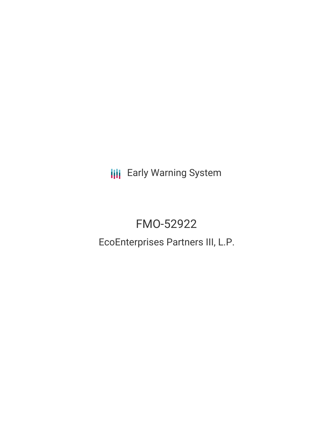**III** Early Warning System

# FMO-52922

## EcoEnterprises Partners III, L.P.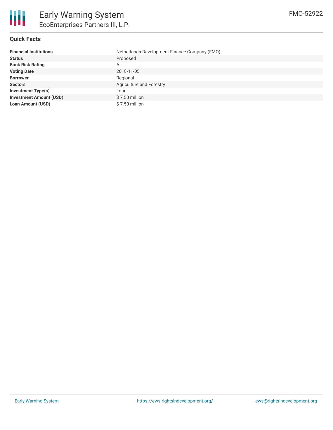

#### **Quick Facts**

| <b>Financial Institutions</b>  | Netherlands Development Finance Company (FMO) |
|--------------------------------|-----------------------------------------------|
| <b>Status</b>                  | Proposed                                      |
| <b>Bank Risk Rating</b>        | A                                             |
| <b>Voting Date</b>             | 2018-11-05                                    |
| <b>Borrower</b>                | Regional                                      |
| <b>Sectors</b>                 | Agriculture and Forestry                      |
| <b>Investment Type(s)</b>      | Loan                                          |
| <b>Investment Amount (USD)</b> | $$7.50$ million                               |
| <b>Loan Amount (USD)</b>       | \$7.50 million                                |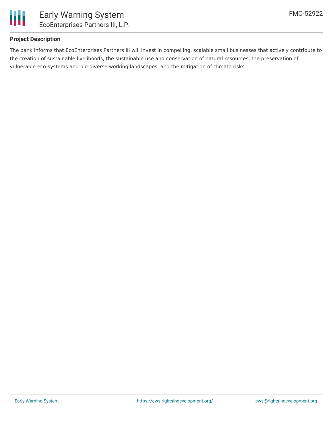

## **Project Description**

The bank informs that EcoEnterprises Partners III will invest in compelling, scalable small businesses that actively contribute to the creation of sustainable livelihoods, the sustainable use and conservation of natural resources, the preservation of vulnerable eco-systems and bio-diverse working landscapes, and the mitigation of climate risks.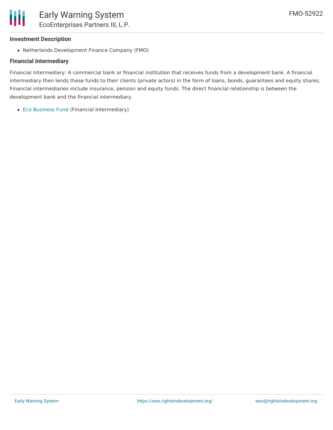## **Investment Description**

Ш

Netherlands Development Finance Company (FMO)

## **Financial Intermediary**

Financial Intermediary: A commercial bank or financial institution that receives funds from a development bank. A financial intermediary then lends these funds to their clients (private actors) in the form of loans, bonds, guarantees and equity shares. Financial intermediaries include insurance, pension and equity funds. The direct financial relationship is between the development bank and the financial intermediary.

Eco [Business](file:///actor/122/) Fund (Financial Intermediary)